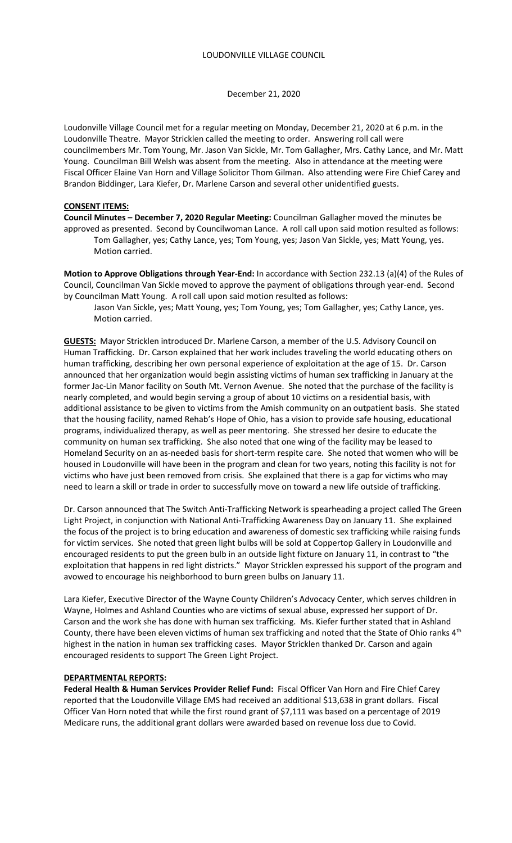December 21, 2020

Loudonville Village Council met for a regular meeting on Monday, December 21, 2020 at 6 p.m. in the Loudonville Theatre. Mayor Stricklen called the meeting to order. Answering roll call were councilmembers Mr. Tom Young, Mr. Jason Van Sickle, Mr. Tom Gallagher, Mrs. Cathy Lance, and Mr. Matt Young. Councilman Bill Welsh was absent from the meeting. Also in attendance at the meeting were Fiscal Officer Elaine Van Horn and Village Solicitor Thom Gilman. Also attending were Fire Chief Carey and Brandon Biddinger, Lara Kiefer, Dr. Marlene Carson and several other unidentified guests.

#### **CONSENT ITEMS:**

**Council Minutes – December 7, 2020 Regular Meeting:** Councilman Gallagher moved the minutes be approved as presented. Second by Councilwoman Lance. A roll call upon said motion resulted as follows: Tom Gallagher, yes; Cathy Lance, yes; Tom Young, yes; Jason Van Sickle, yes; Matt Young, yes. Motion carried.

**Motion to Approve Obligations through Year-End:** In accordance with Section 232.13 (a)(4) of the Rules of Council, Councilman Van Sickle moved to approve the payment of obligations through year-end. Second by Councilman Matt Young. A roll call upon said motion resulted as follows:

Jason Van Sickle, yes; Matt Young, yes; Tom Young, yes; Tom Gallagher, yes; Cathy Lance, yes. Motion carried.

**GUESTS:** Mayor Stricklen introduced Dr. Marlene Carson, a member of the U.S. Advisory Council on Human Trafficking. Dr. Carson explained that her work includes traveling the world educating others on human trafficking, describing her own personal experience of exploitation at the age of 15. Dr. Carson announced that her organization would begin assisting victims of human sex trafficking in January at the former Jac-Lin Manor facility on South Mt. Vernon Avenue. She noted that the purchase of the facility is nearly completed, and would begin serving a group of about 10 victims on a residential basis, with additional assistance to be given to victims from the Amish community on an outpatient basis. She stated that the housing facility, named Rehab's Hope of Ohio, has a vision to provide safe housing, educational programs, individualized therapy, as well as peer mentoring. She stressed her desire to educate the community on human sex trafficking. She also noted that one wing of the facility may be leased to Homeland Security on an as-needed basis for short-term respite care. She noted that women who will be housed in Loudonville will have been in the program and clean for two years, noting this facility is not for victims who have just been removed from crisis. She explained that there is a gap for victims who may need to learn a skill or trade in order to successfully move on toward a new life outside of trafficking.

Dr. Carson announced that The Switch Anti-Trafficking Network is spearheading a project called The Green Light Project, in conjunction with National Anti-Trafficking Awareness Day on January 11. She explained the focus of the project is to bring education and awareness of domestic sex trafficking while raising funds for victim services. She noted that green light bulbs will be sold at Coppertop Gallery in Loudonville and encouraged residents to put the green bulb in an outside light fixture on January 11, in contrast to "the exploitation that happens in red light districts." Mayor Stricklen expressed his support of the program and avowed to encourage his neighborhood to burn green bulbs on January 11.

Lara Kiefer, Executive Director of the Wayne County Children's Advocacy Center, which serves children in Wayne, Holmes and Ashland Counties who are victims of sexual abuse, expressed her support of Dr. Carson and the work she has done with human sex trafficking. Ms. Kiefer further stated that in Ashland County, there have been eleven victims of human sex trafficking and noted that the State of Ohio ranks 4th highest in the nation in human sex trafficking cases. Mayor Stricklen thanked Dr. Carson and again encouraged residents to support The Green Light Project.

### **DEPARTMENTAL REPORTS:**

**Federal Health & Human Services Provider Relief Fund:** Fiscal Officer Van Horn and Fire Chief Carey reported that the Loudonville Village EMS had received an additional \$13,638 in grant dollars. Fiscal Officer Van Horn noted that while the first round grant of \$7,111 was based on a percentage of 2019 Medicare runs, the additional grant dollars were awarded based on revenue loss due to Covid.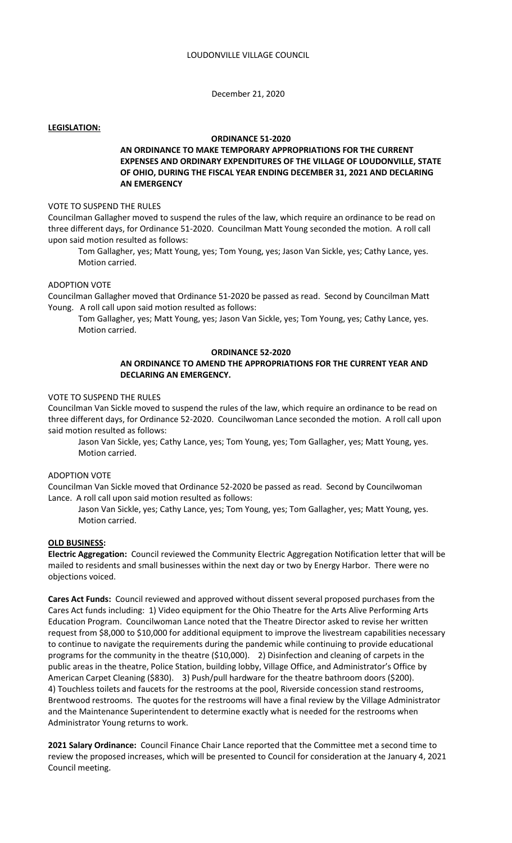December 21, 2020

#### **LEGISLATION:**

# **ORDINANCE 51-2020**

# **AN ORDINANCE TO MAKE TEMPORARY APPROPRIATIONS FOR THE CURRENT EXPENSES AND ORDINARY EXPENDITURES OF THE VILLAGE OF LOUDONVILLE, STATE OF OHIO, DURING THE FISCAL YEAR ENDING DECEMBER 31, 2021 AND DECLARING AN EMERGENCY**

#### VOTE TO SUSPEND THE RULES

Councilman Gallagher moved to suspend the rules of the law, which require an ordinance to be read on three different days, for Ordinance 51-2020. Councilman Matt Young seconded the motion. A roll call upon said motion resulted as follows:

Tom Gallagher, yes; Matt Young, yes; Tom Young, yes; Jason Van Sickle, yes; Cathy Lance, yes. Motion carried.

## ADOPTION VOTE

Councilman Gallagher moved that Ordinance 51-2020 be passed as read. Second by Councilman Matt Young. A roll call upon said motion resulted as follows:

Tom Gallagher, yes; Matt Young, yes; Jason Van Sickle, yes; Tom Young, yes; Cathy Lance, yes. Motion carried.

### **ORDINANCE 52-2020**

## **AN ORDINANCE TO AMEND THE APPROPRIATIONS FOR THE CURRENT YEAR AND DECLARING AN EMERGENCY.**

### VOTE TO SUSPEND THE RULES

Councilman Van Sickle moved to suspend the rules of the law, which require an ordinance to be read on three different days, for Ordinance 52-2020. Councilwoman Lance seconded the motion. A roll call upon said motion resulted as follows:

Jason Van Sickle, yes; Cathy Lance, yes; Tom Young, yes; Tom Gallagher, yes; Matt Young, yes. Motion carried.

### ADOPTION VOTE

Councilman Van Sickle moved that Ordinance 52-2020 be passed as read. Second by Councilwoman Lance. A roll call upon said motion resulted as follows:

Jason Van Sickle, yes; Cathy Lance, yes; Tom Young, yes; Tom Gallagher, yes; Matt Young, yes. Motion carried.

#### **OLD BUSINESS:**

**Electric Aggregation:** Council reviewed the Community Electric Aggregation Notification letter that will be mailed to residents and small businesses within the next day or two by Energy Harbor. There were no objections voiced.

**Cares Act Funds:** Council reviewed and approved without dissent several proposed purchases from the Cares Act funds including: 1) Video equipment for the Ohio Theatre for the Arts Alive Performing Arts Education Program. Councilwoman Lance noted that the Theatre Director asked to revise her written request from \$8,000 to \$10,000 for additional equipment to improve the livestream capabilities necessary to continue to navigate the requirements during the pandemic while continuing to provide educational programs for the community in the theatre (\$10,000). 2) Disinfection and cleaning of carpets in the public areas in the theatre, Police Station, building lobby, Village Office, and Administrator's Office by American Carpet Cleaning (\$830). 3) Push/pull hardware for the theatre bathroom doors (\$200). 4) Touchless toilets and faucets for the restrooms at the pool, Riverside concession stand restrooms, Brentwood restrooms. The quotes for the restrooms will have a final review by the Village Administrator and the Maintenance Superintendent to determine exactly what is needed for the restrooms when Administrator Young returns to work.

**2021 Salary Ordinance:** Council Finance Chair Lance reported that the Committee met a second time to review the proposed increases, which will be presented to Council for consideration at the January 4, 2021 Council meeting.